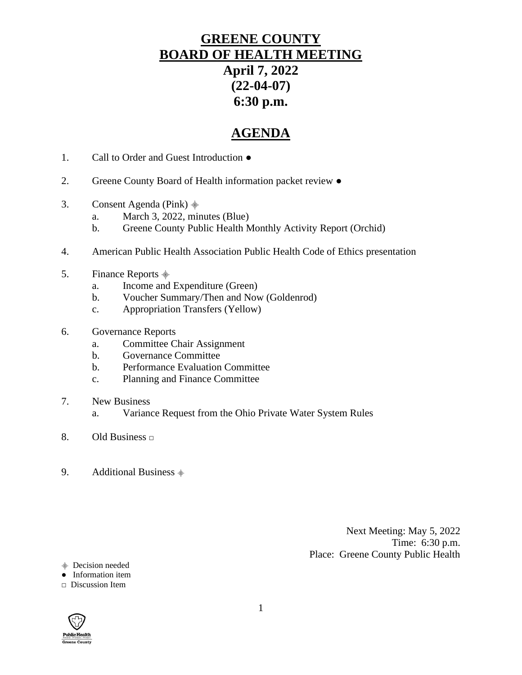## **GREENE COUNTY BOARD OF HEALTH MEETING April 7, 2022 (22-04-07) 6:30 p.m.**

## **AGENDA**

- 1. Call to Order and Guest Introduction ●
- 2. Greene County Board of Health information packet review ●
- 3. Consent Agenda (Pink)  $\frac{1}{2}$ 
	- a. March 3, 2022, minutes (Blue)
	- b. Greene County Public Health Monthly Activity Report (Orchid)
- 4. American Public Health Association Public Health Code of Ethics presentation
- 5. Finance Reports  $\stackrel{\triangle}{\equiv}$ 
	- a. Income and Expenditure (Green)
	- b. Voucher Summary/Then and Now (Goldenrod)
	- c. Appropriation Transfers (Yellow)
- 6. Governance Reports
	- a. Committee Chair Assignment
	- b. Governance Committee
	- b. Performance Evaluation Committee
	- c. Planning and Finance Committee
- 7. New Business
	- a. Variance Request from the Ohio Private Water System Rules
- 8. Old Business **□**
- 9. Additional Business  $\triangleq$

Next Meeting: May 5, 2022 Time: 6:30 p.m. Place: Greene County Public Health

⸎ Decision needed

● Information item

#### **□** Discussion Item

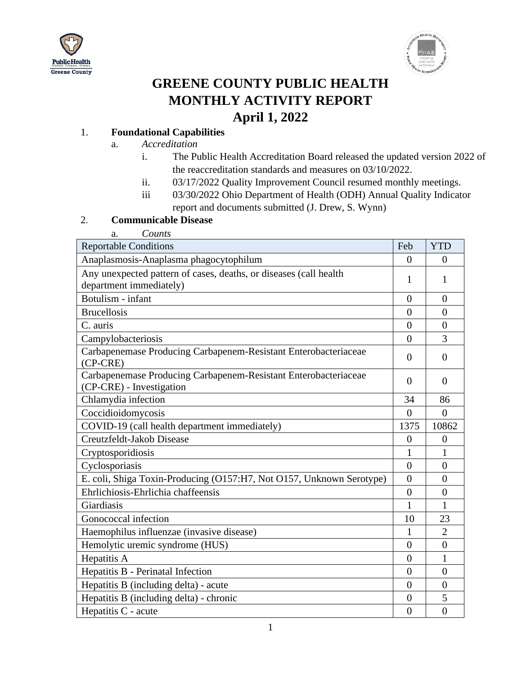



# **GREENE COUNTY PUBLIC HEALTH MONTHLY ACTIVITY REPORT April 1, 2022**

#### 1. **Foundational Capabilities**

- a. *Accreditation*
	- i. The Public Health Accreditation Board released the updated version 2022 of the reaccreditation standards and measures on 03/10/2022.
	- ii. 03/17/2022 Quality Improvement Council resumed monthly meetings.
	- iii 03/30/2022 Ohio Department of Health (ODH) Annual Quality Indicator report and documents submitted (J. Drew, S. Wynn)

#### 2. **Communicable Disease**

a. *Counts*

| <b>Reportable Conditions</b>                                                                 | Feb            | <b>YTD</b>     |
|----------------------------------------------------------------------------------------------|----------------|----------------|
| Anaplasmosis-Anaplasma phagocytophilum                                                       | $\theta$       | $\Omega$       |
| Any unexpected pattern of cases, deaths, or diseases (call health<br>department immediately) | 1              | 1              |
| Botulism - infant                                                                            | $\theta$       | $\overline{0}$ |
| <b>Brucellosis</b>                                                                           | $\theta$       | $\overline{0}$ |
| C. auris                                                                                     | $\theta$       | $\overline{0}$ |
| Campylobacteriosis                                                                           | $\theta$       | 3              |
| Carbapenemase Producing Carbapenem-Resistant Enterobacteriaceae<br>$(CP-CRE)$                | $\theta$       | $\theta$       |
| Carbapenemase Producing Carbapenem-Resistant Enterobacteriaceae<br>(CP-CRE) - Investigation  | $\overline{0}$ | $\overline{0}$ |
| Chlamydia infection                                                                          | 34             | 86             |
| Coccidioidomycosis                                                                           | $\overline{0}$ | $\overline{0}$ |
| COVID-19 (call health department immediately)                                                | 1375           | 10862          |
| Creutzfeldt-Jakob Disease                                                                    | $\overline{0}$ | $\overline{0}$ |
| Cryptosporidiosis                                                                            | 1              | 1              |
| Cyclosporiasis                                                                               | $\overline{0}$ | $\overline{0}$ |
| E. coli, Shiga Toxin-Producing (O157:H7, Not O157, Unknown Serotype)                         | $\theta$       | $\theta$       |
| Ehrlichiosis-Ehrlichia chaffeensis                                                           | $\theta$       | $\theta$       |
| Giardiasis                                                                                   | 1              | 1              |
| Gonococcal infection                                                                         | 10             | 23             |
| Haemophilus influenzae (invasive disease)                                                    | 1              | $\overline{2}$ |
| Hemolytic uremic syndrome (HUS)                                                              | $\overline{0}$ | $\overline{0}$ |
| Hepatitis A                                                                                  | $\overline{0}$ | $\mathbf{1}$   |
| Hepatitis B - Perinatal Infection                                                            | $\theta$       | 0              |
| Hepatitis B (including delta) - acute                                                        | $\overline{0}$ | $\overline{0}$ |
| Hepatitis B (including delta) - chronic                                                      | $\overline{0}$ | 5              |
| Hepatitis C - acute                                                                          | $\overline{0}$ | $\overline{0}$ |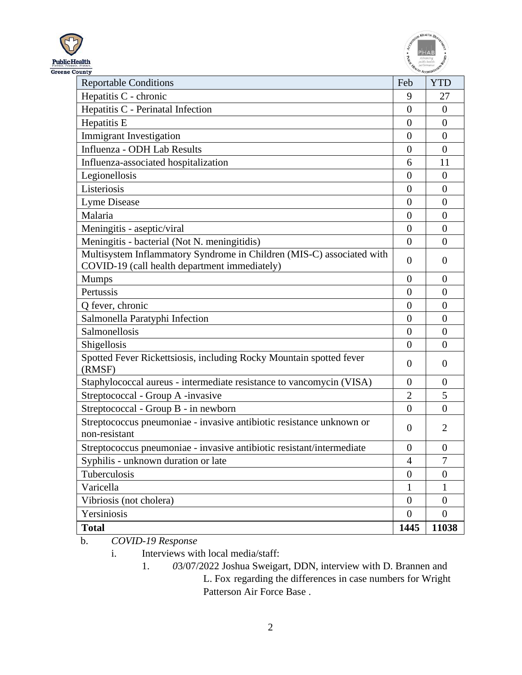



| County                                                                                                                 |                  |                  |
|------------------------------------------------------------------------------------------------------------------------|------------------|------------------|
| <b>Reportable Conditions</b>                                                                                           | Feb              | <b>YTD</b>       |
| Hepatitis C - chronic                                                                                                  | 9                | 27               |
| Hepatitis C - Perinatal Infection                                                                                      | $\overline{0}$   | $\overline{0}$   |
| Hepatitis E                                                                                                            | $\overline{0}$   | $\boldsymbol{0}$ |
| <b>Immigrant Investigation</b>                                                                                         | $\overline{0}$   | $\overline{0}$   |
| Influenza - ODH Lab Results                                                                                            | $\overline{0}$   | $\overline{0}$   |
| Influenza-associated hospitalization                                                                                   | 6                | 11               |
| Legionellosis                                                                                                          | $\boldsymbol{0}$ | $\overline{0}$   |
| Listeriosis                                                                                                            | $\overline{0}$   | $\overline{0}$   |
| Lyme Disease                                                                                                           | $\overline{0}$   | $\overline{0}$   |
| Malaria                                                                                                                | $\overline{0}$   | $\overline{0}$   |
| Meningitis - aseptic/viral                                                                                             | $\overline{0}$   | $\overline{0}$   |
| Meningitis - bacterial (Not N. meningitidis)                                                                           | $\overline{0}$   | $\overline{0}$   |
| Multisystem Inflammatory Syndrome in Children (MIS-C) associated with<br>COVID-19 (call health department immediately) | $\Omega$         | $\overline{0}$   |
| <b>Mumps</b>                                                                                                           | $\overline{0}$   | $\overline{0}$   |
| Pertussis                                                                                                              | $\overline{0}$   | $\overline{0}$   |
| Q fever, chronic                                                                                                       | $\overline{0}$   | $\overline{0}$   |
| Salmonella Paratyphi Infection                                                                                         | $\overline{0}$   | $\overline{0}$   |
| Salmonellosis                                                                                                          | $\overline{0}$   | $\overline{0}$   |
| Shigellosis                                                                                                            | $\overline{0}$   | $\overline{0}$   |
| Spotted Fever Rickettsiosis, including Rocky Mountain spotted fever<br>(RMSF)                                          | $\theta$         | 0                |
| Staphylococcal aureus - intermediate resistance to vancomycin (VISA)                                                   | $\overline{0}$   | $\boldsymbol{0}$ |
| Streptococcal - Group A -invasive                                                                                      | $\overline{2}$   | 5                |
| Streptococcal - Group B - in newborn                                                                                   | $\theta$         | $\overline{0}$   |
| Streptococcus pneumoniae - invasive antibiotic resistance unknown or<br>non-resistant                                  | $\overline{0}$   | $\overline{2}$   |
| Streptococcus pneumoniae - invasive antibiotic resistant/intermediate                                                  | $\overline{0}$   | $\boldsymbol{0}$ |
| Syphilis - unknown duration or late                                                                                    | 4                | 7                |
| Tuberculosis                                                                                                           | $\overline{0}$   | $\boldsymbol{0}$ |
| Varicella                                                                                                              | 1                | 1                |
| Vibriosis (not cholera)                                                                                                | $\overline{0}$   | $\boldsymbol{0}$ |
| Yersiniosis                                                                                                            | $\overline{0}$   | $\boldsymbol{0}$ |
| <b>Total</b>                                                                                                           | 1445             | 11038            |

b. *COVID-19 Response*

i. Interviews with local media/staff:

1. *0*3/07/2022 Joshua Sweigart, DDN, interview with D. Brannen and L. Fox regarding the differences in case numbers for Wright Patterson Air Force Base .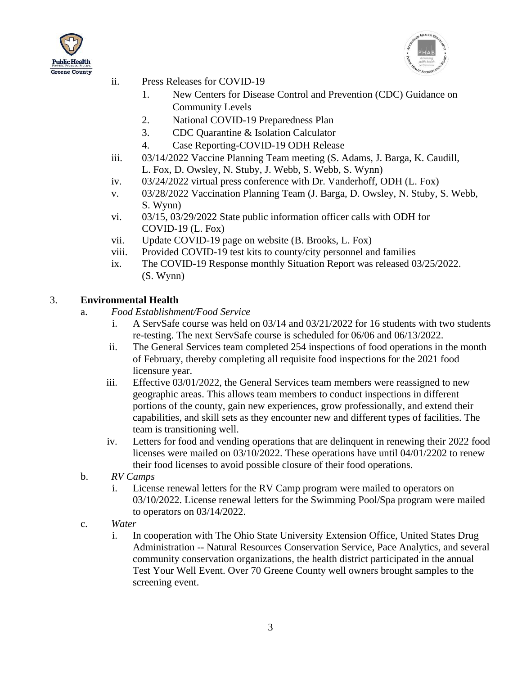



- ii. Press Releases for COVID-19
	- 1. New Centers for Disease Control and Prevention (CDC) Guidance on Community Levels
	- 2. National COVID-19 Preparedness Plan
	- 3. CDC Quarantine & Isolation Calculator
	- 4. Case Reporting-COVID-19 ODH Release
- iii. 03/14/2022 Vaccine Planning Team meeting (S. Adams, J. Barga, K. Caudill, L. Fox, D. Owsley, N. Stuby, J. Webb, S. Webb, S. Wynn)
- iv. 03/24/2022 virtual press conference with Dr. Vanderhoff, ODH (L. Fox)
- v. 03/28/2022 Vaccination Planning Team (J. Barga, D. Owsley, N. Stuby, S. Webb, S. Wynn)
- vi. 03/15, 03/29/2022 State public information officer calls with ODH for COVID-19 (L. Fox)
- vii. Update COVID-19 page on website (B. Brooks, L. Fox)
- viii. Provided COVID-19 test kits to county/city personnel and families
- ix. The COVID-19 Response monthly Situation Report was released 03/25/2022. (S. Wynn)

#### 3. **Environmental Health**

- a. *Food Establishment/Food Service*
	- i. A ServSafe course was held on 03/14 and 03/21/2022 for 16 students with two students re-testing. The next ServSafe course is scheduled for 06/06 and 06/13/2022.
	- ii. The General Services team completed 254 inspections of food operations in the month of February, thereby completing all requisite food inspections for the 2021 food licensure year.
	- iii. Effective 03/01/2022, the General Services team members were reassigned to new geographic areas. This allows team members to conduct inspections in different portions of the county, gain new experiences, grow professionally, and extend their capabilities, and skill sets as they encounter new and different types of facilities. The team is transitioning well.
	- iv. Letters for food and vending operations that are delinquent in renewing their 2022 food licenses were mailed on 03/10/2022. These operations have until 04/01/2202 to renew their food licenses to avoid possible closure of their food operations.
- b. *RV Camps*
	- i. License renewal letters for the RV Camp program were mailed to operators on 03/10/2022. License renewal letters for the Swimming Pool/Spa program were mailed to operators on 03/14/2022.
- c. *Water*
	- i. In cooperation with The Ohio State University Extension Office, United States Drug Administration -- Natural Resources Conservation Service, Pace Analytics, and several community conservation organizations, the health district participated in the annual Test Your Well Event. Over 70 Greene County well owners brought samples to the screening event.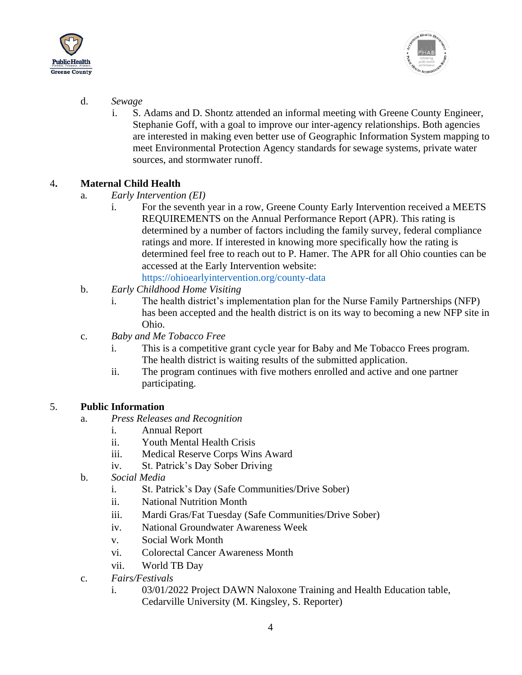

![](_page_4_Picture_1.jpeg)

- d. *Sewage*
	- i. S. Adams and D. Shontz attended an informal meeting with Greene County Engineer, Stephanie Goff, with a goal to improve our inter-agency relationships. Both agencies are interested in making even better use of Geographic Information System mapping to meet Environmental Protection Agency standards for sewage systems, private water sources, and stormwater runoff.

#### 4**. Maternal Child Health**

- a*. Early Intervention (EI)*
	- i. For the seventh year in a row, Greene County Early Intervention received a MEETS REQUIREMENTS on the Annual Performance Report (APR). This rating is determined by a number of factors including the family survey, federal compliance ratings and more. If interested in knowing more specifically how the rating is determined feel free to reach out to P. Hamer. The APR for all Ohio counties can be accessed at the Early Intervention website: <https://ohioearlyintervention.org/county-data>
- b. *Early Childhood Home Visiting*
	- i. The health district's implementation plan for the Nurse Family Partnerships (NFP) has been accepted and the health district is on its way to becoming a new NFP site in Ohio.
- c. *Baby and Me Tobacco Free*
	- i. This is a competitive grant cycle year for Baby and Me Tobacco Frees program. The health district is waiting results of the submitted application.
	- ii. The program continues with five mothers enrolled and active and one partner participating.

#### 5. **Public Information**

- a. *Press Releases and Recognition*
	- i. Annual Report
	- ii. Youth Mental Health Crisis
	- iii. Medical Reserve Corps Wins Award
	- iv. St. Patrick's Day Sober Driving
- b. *Social Media*
	- i. St. Patrick's Day (Safe Communities/Drive Sober)
	- ii. National Nutrition Month
	- iii. Mardi Gras/Fat Tuesday (Safe Communities/Drive Sober)
	- iv. National Groundwater Awareness Week
	- v. Social Work Month
	- vi. Colorectal Cancer Awareness Month
	- vii. World TB Day
- c. *Fairs/Festivals*
	- i. 03/01/2022 Project DAWN Naloxone Training and Health Education table, Cedarville University (M. Kingsley, S. Reporter)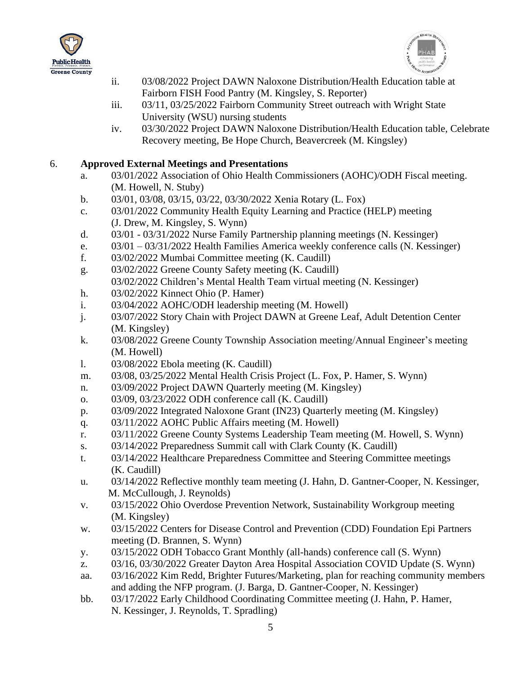![](_page_5_Picture_0.jpeg)

![](_page_5_Picture_1.jpeg)

- ii. 03/08/2022 Project DAWN Naloxone Distribution/Health Education table at Fairborn FISH Food Pantry (M. Kingsley, S. Reporter)
- iii. 03/11, 03/25/2022 Fairborn Community Street outreach with Wright State University (WSU) nursing students
- iv. 03/30/2022 Project DAWN Naloxone Distribution/Health Education table, Celebrate Recovery meeting, Be Hope Church, Beavercreek (M. Kingsley)

#### 6. **Approved External Meetings and Presentations**

- a. 03/01/2022 Association of Ohio Health Commissioners (AOHC)/ODH Fiscal meeting. (M. Howell, N. Stuby)
- b. 03/01, 03/08, 03/15, 03/22, 03/30/2022 Xenia Rotary (L. Fox)
- c. 03/01/2022 Community Health Equity Learning and Practice (HELP) meeting (J. Drew, M. Kingsley, S. Wynn)
- d. 03/01 03/31/2022 Nurse Family Partnership planning meetings (N. Kessinger)
- e. 03/01 03/31/2022 Health Families America weekly conference calls (N. Kessinger)
- f. 03/02/2022 Mumbai Committee meeting (K. Caudill)
- g. 03/02/2022 Greene County Safety meeting (K. Caudill) 03/02/2022 Children's Mental Health Team virtual meeting (N. Kessinger)
- h. 03/02/2022 Kinnect Ohio (P. Hamer)
- i. 03/04/2022 AOHC/ODH leadership meeting (M. Howell)
- j. 03/07/2022 Story Chain with Project DAWN at Greene Leaf, Adult Detention Center (M. Kingsley)
- k. 03/08/2022 Greene County Township Association meeting/Annual Engineer's meeting (M. Howell)
- l. 03/08/2022 Ebola meeting (K. Caudill)
- m. 03/08, 03/25/2022 Mental Health Crisis Project (L. Fox, P. Hamer, S. Wynn)
- n. 03/09/2022 Project DAWN Quarterly meeting (M. Kingsley)
- o. 03/09, 03/23/2022 ODH conference call (K. Caudill)
- p. 03/09/2022 Integrated Naloxone Grant (IN23) Quarterly meeting (M. Kingsley)
- q. 03/11/2022 AOHC Public Affairs meeting (M. Howell)
- r. 03/11/2022 Greene County Systems Leadership Team meeting (M. Howell, S. Wynn)
- s. 03/14/2022 Preparedness Summit call with Clark County (K. Caudill)
- t. 03/14/2022 Healthcare Preparedness Committee and Steering Committee meetings (K. Caudill)
- u. 03/14/2022 Reflective monthly team meeting (J. Hahn, D. Gantner-Cooper, N. Kessinger, M. McCullough, J. Reynolds)
- v. 03/15/2022 Ohio Overdose Prevention Network, Sustainability Workgroup meeting (M. Kingsley)
- w. 03/15/2022 Centers for Disease Control and Prevention (CDD) Foundation Epi Partners meeting (D. Brannen, S. Wynn)
- y. 03/15/2022 ODH Tobacco Grant Monthly (all-hands) conference call (S. Wynn)
- z. 03/16, 03/30/2022 Greater Dayton Area Hospital Association COVID Update (S. Wynn)
- aa. 03/16/2022 Kim Redd, Brighter Futures/Marketing, plan for reaching community members and adding the NFP program. (J. Barga, D. Gantner-Cooper, N. Kessinger)
- bb. 03/17/2022 Early Childhood Coordinating Committee meeting (J. Hahn, P. Hamer, N. Kessinger, J. Reynolds, T. Spradling)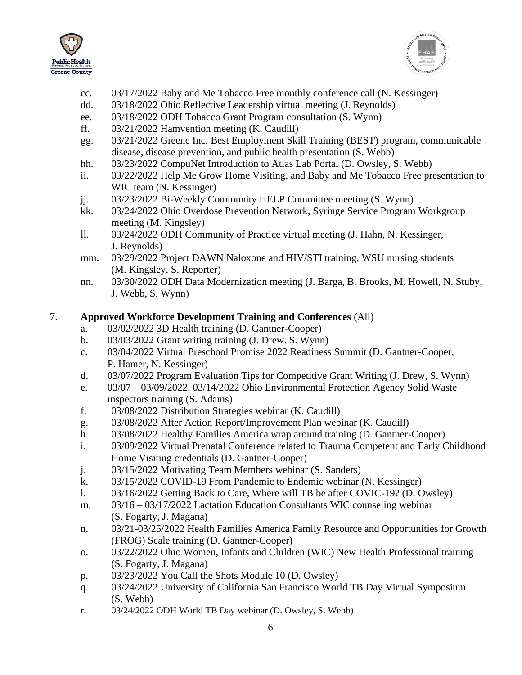![](_page_6_Picture_0.jpeg)

![](_page_6_Picture_1.jpeg)

- cc. 03/17/2022 Baby and Me Tobacco Free monthly conference call (N. Kessinger)
- dd. 03/18/2022 Ohio Reflective Leadership virtual meeting (J. Reynolds)
- ee. 03/18/2022 ODH Tobacco Grant Program consultation (S. Wynn)
- ff. 03/21/2022 Hamvention meeting (K. Caudill)
- gg. 03/21/2022 Greene Inc. Best Employment Skill Training (BEST) program, communicable disease, disease prevention, and public health presentation (S. Webb)
- hh. 03/23/2022 CompuNet Introduction to Atlas Lab Portal (D. Owsley, S. Webb)
- ii. 03/22/2022 Help Me Grow Home Visiting, and Baby and Me Tobacco Free presentation to WIC team (N. Kessinger)
- jj. 03/23/2022 Bi-Weekly Community HELP Committee meeting (S. Wynn)
- kk. 03/24/2022 Ohio Overdose Prevention Network, Syringe Service Program Workgroup meeting (M. Kingsley)
- ll. 03/24/2022 ODH Community of Practice virtual meeting (J. Hahn, N. Kessinger, J. Reynolds)
- mm. 03/29/2022 Project DAWN Naloxone and HIV/STI training, WSU nursing students (M. Kingsley, S. Reporter)
- nn. 03/30/2022 ODH Data Modernization meeting (J. Barga, B. Brooks, M. Howell, N. Stuby, J. Webb, S. Wynn)

### 7. **Approved Workforce Development Training and Conferences** (All)

- a. 03/02/2022 3D Health training (D. Gantner-Cooper)
- b. 03/03/2022 Grant writing training (J. Drew. S. Wynn)
- c. 03/04/2022 Virtual Preschool Promise 2022 Readiness Summit (D. Gantner-Cooper, P. Hamer, N. Kessinger)
- d. 03/07/2022 Program Evaluation Tips for Competitive Grant Writing (J. Drew, S. Wynn)
- e. 03/07 03/09/2022, 03/14/2022 Ohio Environmental Protection Agency Solid Waste inspectors training (S. Adams)
- f. 03/08/2022 Distribution Strategies webinar (K. Caudill)
- g. 03/08/2022 After Action Report/Improvement Plan webinar (K. Caudill)
- h. 03/08/2022 Healthy Families America wrap around training (D. Gantner-Cooper)
- i. 03/09/2022 Virtual Prenatal Conference related to Trauma Competent and Early Childhood Home Visiting credentials (D. Gantner-Cooper)
- j. 03/15/2022 Motivating Team Members webinar (S. Sanders)
- k. 03/15/2022 COVID-19 From Pandemic to Endemic webinar (N. Kessinger)
- l. 03/16/2022 Getting Back to Care, Where will TB be after COVIC-19? (D. Owsley)
- m. 03/16 03/17/2022 Lactation Education Consultants WIC counseling webinar (S. Fogarty, J. Magana)
- n. 03/21-03/25/2022 Health Families America Family Resource and Opportunities for Growth (FROG) Scale training (D. Gantner-Cooper)
- o. 03/22/2022 Ohio Women, Infants and Children (WIC) New Health Professional training (S. Fogarty, J. Magana)
- p. 03/23/2022 You Call the Shots Module 10 (D. Owsley)
- q. 03/24/2022 University of California San Francisco World TB Day Virtual Symposium (S. Webb)
- r. 03/24/2022 ODH World TB Day webinar (D. Owsley, S. Webb)